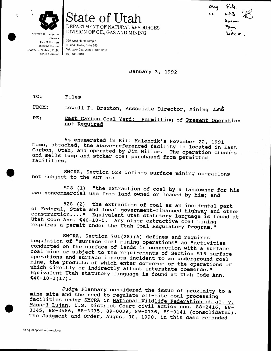

Norman H. Bangerter

State of Utah DEPARTMENT OF NATURAL RESOURCES DIVISION OF OIL, GAS AND MINING

بم در، ۱۵ Pam Bill m

Governor Dee C. Hansen **Executive Director** Dianne R. Nielson, Ph.D.

355 West North Temple 3 Triad Center, Suite 350 Salt Lake City, Utah 84180-1203 801-538-5340

January 3, 1992

TO: Files

FROM: Lowell P. Braxton, Associate Director, Mining LAS

East Carbon Coal Yard: Permitting of Present Operation RE: not Required

As enumerated in Bill Malencik's November 22, 1991 memo, attached, the above-referenced facility is located in East Carbon, Utah, and operated by Jim Miller. The operation crushes and sells lump and stoker coal purchased from permitted facilities.

SMCRA, Section 528 defines surface mining operations not subject to the ACT as:

"the extraction of coal by a landowner for his 528 (1) own noncommercial use from land owned or leased by him; and

528 (2) the extraction of coal as an incidental part of Federal, State and local government-financed highway and other construction...." Equivalent Utah statutory language is found at Utah Code Ann. §40-10-5. Any other extractive coal mining requires a permit under the Utah Coal Regulatory Program."

SMCRA, Section 701(28)(A) defines and requires regulation of "surface coal mining operations" as "activities conducted on the surface of lands in connection with a surface coal mine or subject to the requirements of Section 516 surface operations and surface impacts incident to an underground coal mine, the products of which enter commerce or the operations of which directly or indirectly affect interstate commerce." Equivalent Utah statutory language is found at Utah Code Ann.  $$40-10-3(17)$ .

Judge Flannary considered the issue of proximity to a mine site and the need to regulate off-site coal processing facilities under SMCRA in National Wildlife Federation et al. v. Manuel Lujan, U.S. District Court civil action nos. 88-2416, 88-3345, 88-3586, 88-3635, 89-0039, 89-0136, 89-0141 (consolidated). The Judgment and Order, August 30, 1990, in this case remanded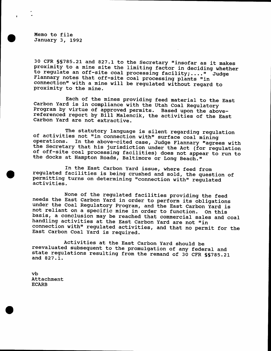Memo to file January 3, 1992

30 CFR SS785.21 and 827.1 to the Secretary "insofar as it makes<br>proximity to a mine site the limiting factor in deciding whether<br>to regulate an off-site coal processing facility;...." Judge<br>Flannary notes that off-site coa Flannary notes that off-site coal processing plants "in connection" with a mine will be regulated without regard to proximity to the mine. to regulate an off-site coal processing facility;...." Judge

Each of the mines providing feed material to the East<br>Carbon Yard is in compliance with the Utah Coal Regulatory<br>Program by virtue of approved permits. Based upon the above-<br>referenced report by Bill Malencik, the activiti

The statutory language is silent regarding regulation<br>of activities not "in connection with" surface coal mining<br>operations. In the above-cited case, Judge Flannary "agrees with the Secretary that his jurisdiction under the Act (for regulation<br>of off-site coal processing facilities) does not appear to run to<br>the docks at Hampton Roads, Baltimore or Long Beach."

In the East Carbon Yard issue, where feed from<br>regulated facilities is being crushed and sold, the question of<br>permitting turns on determining "connection with" regulated<br>activities.

None of the regulated facilities providing the feed<br>needs the East Carbon Yard in order to perform its obligations<br>under the Coal Regulatory Program, and the East Carbon Yard is<br>not reliant on a specific mine in order to f connection with" regulated activities, and that no permit for the East Carbon Coal Yard is required.

Activities at the East Carbon Yard should be<br>reevaluated subsequent to the promulgation of any federal and<br>state regulations resulting from the remand of 30 CFR SS785.21<br>and 827.1.

vb Attachment ECARB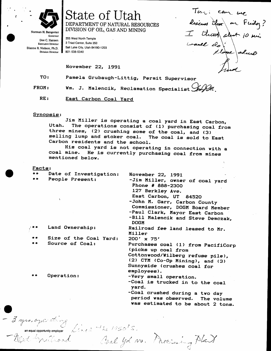

State of Utah DEPARTMENT OF NATURAL RESOURCES DIVISION OF OIL, GAS AND MINING

Norman H. Bangerter Governor Dee C. Hansen **Executive Director** Dianne R. Nielson, Ph.D. **Division Director** 

355 West North Temple 3 Triad Center, Suite 350 Salt Lake City, Utah 84180-1203 801-538-5340

November 22, 1991

Pamela Grubaugh-Littig, Permit Supervisor TO:

Wm. J. Malencik, Reclamation Specialist  $\mathcal{G}_{m}(\mathcal{Q}_{m})$ FROM:

RE: East Carbon Coal Yard

## Synopsis:

Jim Miller is operating a coal yard in East Carbon, The operations consist of (1) purchasing coal from Utah. three mines, (2) crushing some of the coal, and (3) selling lump and stoker coal. The coal is sold to East Carbon residents and the school.

His coal yard is not operating in connection with a coal mine. He is currently purchasing coal from mines mentioned below.

Facts:

| **    | Date of Investigation:          | November 22, 1991                                                                                                                                                                                                                                         |
|-------|---------------------------------|-----------------------------------------------------------------------------------------------------------------------------------------------------------------------------------------------------------------------------------------------------------|
| $+ +$ | People Present:<br>$\mathbf{r}$ | -Jim Miller, owner of coal yard<br>Phone # 888-2300<br>127 Berkley Ave.<br>East Carbon, UT 84520<br>-John M. Garr, Carbon County<br>Commissioner, DOGM Board Member<br>-Paul Clark, Mayor East Carbon<br>-Bill Malencik and Steve Demczak,<br><b>DOGM</b> |
| * *   | Land Ownership:                 | Railroad fee land leased to Mr.<br>Miller                                                                                                                                                                                                                 |
| **    | Size of the Coal Yard:          | 200' x 75'                                                                                                                                                                                                                                                |
| $+ +$ | Source of Coal:                 | Purchases coal (1) from PacifiCorp<br>(picks up coal from<br>Cottonwood/Wilberg refuse pile),<br>(2) CTM (Co-Op Mining), and (3)<br>Sunnyside (crushes coal for<br>employees).                                                                            |
|       | Operation:                      | -Very small operation.<br>-Coal is trucked in to the coal<br>yard.<br>-Coal crushed during a two day<br>period was observed. The volume<br>was estimated to be about 2 tons.                                                                              |

Coal yd vs. Parcining Plant

Tom: can we

descurs don en Friday?

I think short 10 min

I un.

- 3 yes, opening<br>an equal opportunity employer Cine 2 the 1950's.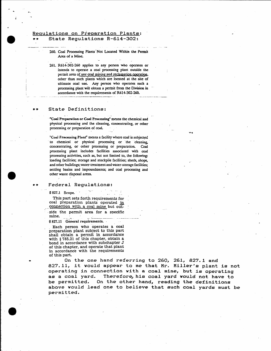## Requiations on Preparation Plants: State Regulations R-614-302:

260. Coal Processing Plants Not Located Within the Permit Area of a Mine.

261. R614-302-260 applies to any person who operates or intends to operate a coal processing plant outside the permit area of any coal mining and reclamation operation, other than such plants which are located at the site of ultimate coal use. Any person who operates such a processing plant will obtain a permit from the Division in accordance with the requirements of R614-302-260.

## State Definitions:

"Coal Preparation or Coal Processing" means the chemical and physical processing and the cleaning, concentrating, or other processing or preparation of coal.

"Coal Processing Plant" means a facility where coal is subjected to chemical or physical processing or the cleaning, concentrating, or other processing or preparation. Coal processing plant includes facilities associated with coal processing activities, such as, but not limited to, the following: loading facilities; storage and stockpile facilities; sheds, shops, and other buildings; water-treatment and water-storage facilities; settling basins and impoundments; and coal processing and other waste disposal areas.

## Federal Regulations:

§ 827.1 Scope.

This part sets forth requirements for coal preparation plants operated in connection with a coal mine but out-

side the permit area for a specific mine.

§ 827.11 General requirements.

Each person who operates a coal preparation plant subject to this part shall obtain a permit in accordance with § 785.21 of this chapter, obtain a bond in accordance with subchapter J of this chapter, and operate that plant in accordance with the requirements of this part.

On the one hand referring to 260, 261, 827.1 and 827.11, it would appear to me that Mr. Miller's plant is not operating in connection with a coal mine, but is operating as a coal yard. Therefore, his coal yard would not have to On the other hand, reading the definitions be permitted. above would lead one to believe that such coal yards must be permitted.